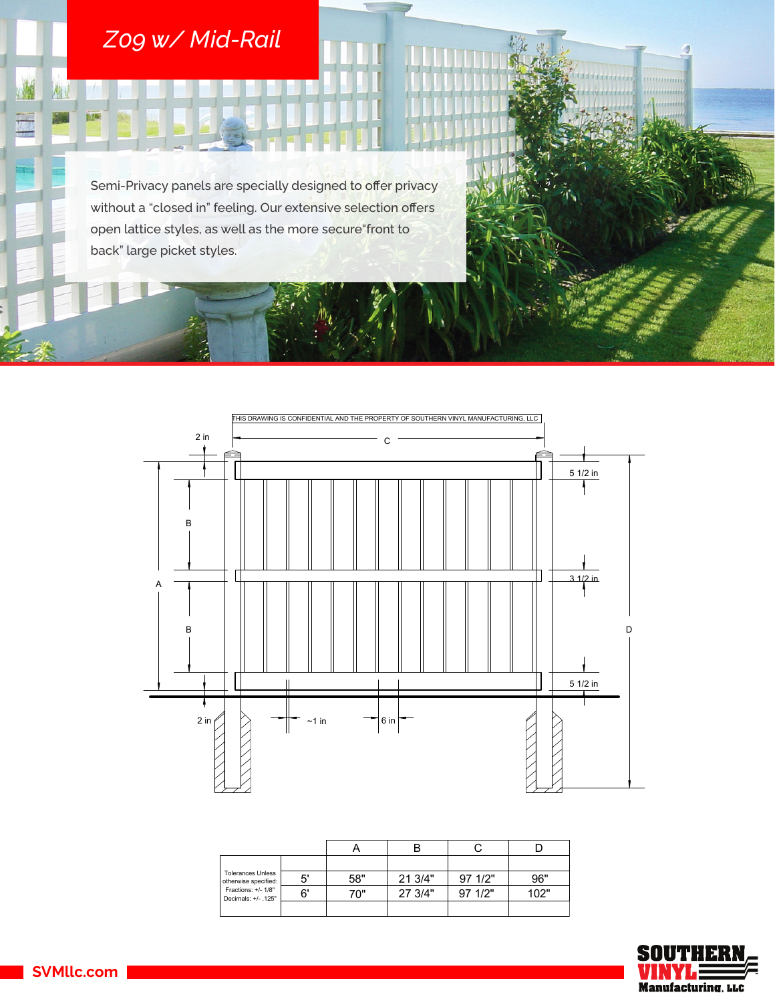## *Z09 w/ Mid-Rail*

构:

H

0.5%

Semi-Privacy panels are specially designed to offer privacy without a "closed in" feeling. Our extensive selection offers open lattice styles, as well as the more secure"front to back" large picket styles.



| <b>Tolerances Unless</b><br>otherwise specified:<br>Fractions: +/- 1/8"<br>Decimals: +/- .125" | 5' | 58" | 21 3/4" | 97 1/2" | 96"  |
|------------------------------------------------------------------------------------------------|----|-----|---------|---------|------|
|                                                                                                | 6' | 70" | 27 3/4" | 971/2"  | 102" |
|                                                                                                |    |     |         |         |      |



mmmmm

**SVMllc.com**